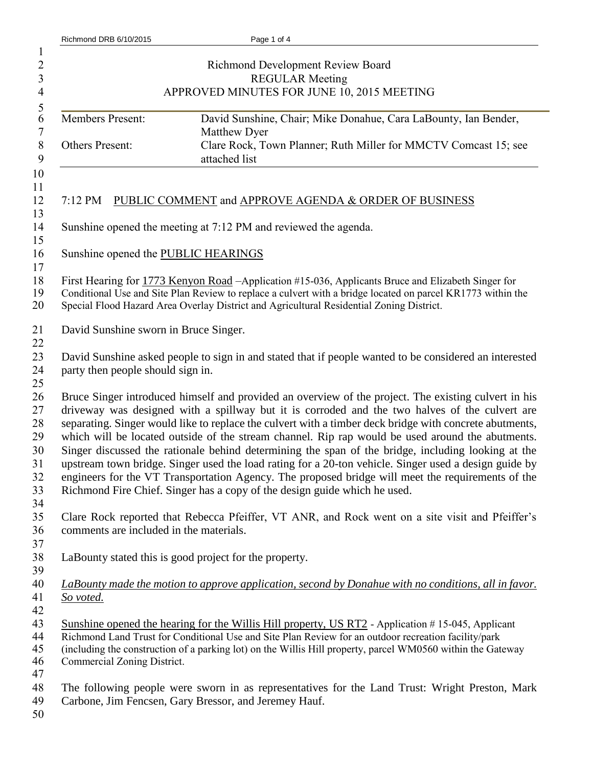| Richmond DRB 6/10/2015                  | Page 1 of 4                                                                                                                                                                    |
|-----------------------------------------|--------------------------------------------------------------------------------------------------------------------------------------------------------------------------------|
|                                         |                                                                                                                                                                                |
|                                         | Richmond Development Review Board                                                                                                                                              |
|                                         | <b>REGULAR Meeting</b>                                                                                                                                                         |
|                                         | APPROVED MINUTES FOR JUNE 10, 2015 MEETING                                                                                                                                     |
| <b>Members Present:</b>                 | David Sunshine, Chair; Mike Donahue, Cara LaBounty, Ian Bender,                                                                                                                |
|                                         | Matthew Dyer                                                                                                                                                                   |
| Others Present:                         | Clare Rock, Town Planner; Ruth Miller for MMCTV Comcast 15; see                                                                                                                |
|                                         | attached list                                                                                                                                                                  |
|                                         |                                                                                                                                                                                |
|                                         | 7:12 PM PUBLIC COMMENT and APPROVE AGENDA & ORDER OF BUSINESS                                                                                                                  |
|                                         |                                                                                                                                                                                |
|                                         | Sunshine opened the meeting at 7:12 PM and reviewed the agenda.                                                                                                                |
| Sunshine opened the PUBLIC HEARINGS     |                                                                                                                                                                                |
|                                         |                                                                                                                                                                                |
|                                         | First Hearing for 1773 Kenyon Road -Application #15-036, Applicants Bruce and Elizabeth Singer for                                                                             |
|                                         | Conditional Use and Site Plan Review to replace a culvert with a bridge located on parcel KR1773 within the                                                                    |
|                                         | Special Flood Hazard Area Overlay District and Agricultural Residential Zoning District.                                                                                       |
| David Sunshine sworn in Bruce Singer.   |                                                                                                                                                                                |
|                                         |                                                                                                                                                                                |
|                                         | David Sunshine asked people to sign in and stated that if people wanted to be considered an interested                                                                         |
| party then people should sign in.       |                                                                                                                                                                                |
|                                         |                                                                                                                                                                                |
|                                         | Bruce Singer introduced himself and provided an overview of the project. The existing culvert in his                                                                           |
|                                         | driveway was designed with a spillway but it is corroded and the two halves of the culvert are                                                                                 |
|                                         | separating. Singer would like to replace the culvert with a timber deck bridge with concrete abutments,                                                                        |
|                                         | which will be located outside of the stream channel. Rip rap would be used around the abutments.                                                                               |
|                                         | Singer discussed the rationale behind determining the span of the bridge, including looking at the                                                                             |
|                                         | upstream town bridge. Singer used the load rating for a 20-ton vehicle. Singer used a design guide by                                                                          |
|                                         | engineers for the VT Transportation Agency. The proposed bridge will meet the requirements of the<br>Richmond Fire Chief. Singer has a copy of the design guide which he used. |
|                                         |                                                                                                                                                                                |
|                                         | Clare Rock reported that Rebecca Pfeiffer, VT ANR, and Rock went on a site visit and Pfeiffer's                                                                                |
| comments are included in the materials. |                                                                                                                                                                                |
|                                         |                                                                                                                                                                                |
|                                         | LaBounty stated this is good project for the property.                                                                                                                         |
|                                         |                                                                                                                                                                                |
|                                         | LaBounty made the motion to approve application, second by Donahue with no conditions, all in favor.                                                                           |
| So voted.                               |                                                                                                                                                                                |
|                                         |                                                                                                                                                                                |
|                                         | Sunshine opened the hearing for the Willis Hill property, US RT2 - Application #15-045, Applicant                                                                              |
|                                         | Richmond Land Trust for Conditional Use and Site Plan Review for an outdoor recreation facility/park                                                                           |
|                                         | (including the construction of a parking lot) on the Willis Hill property, parcel WM0560 within the Gateway                                                                    |
| Commercial Zoning District.             |                                                                                                                                                                                |
|                                         |                                                                                                                                                                                |
|                                         | The following people were sworn in as representatives for the Land Trust: Wright Preston, Mark                                                                                 |
|                                         | Carbone, Jim Fencsen, Gary Bressor, and Jeremey Hauf.                                                                                                                          |
|                                         |                                                                                                                                                                                |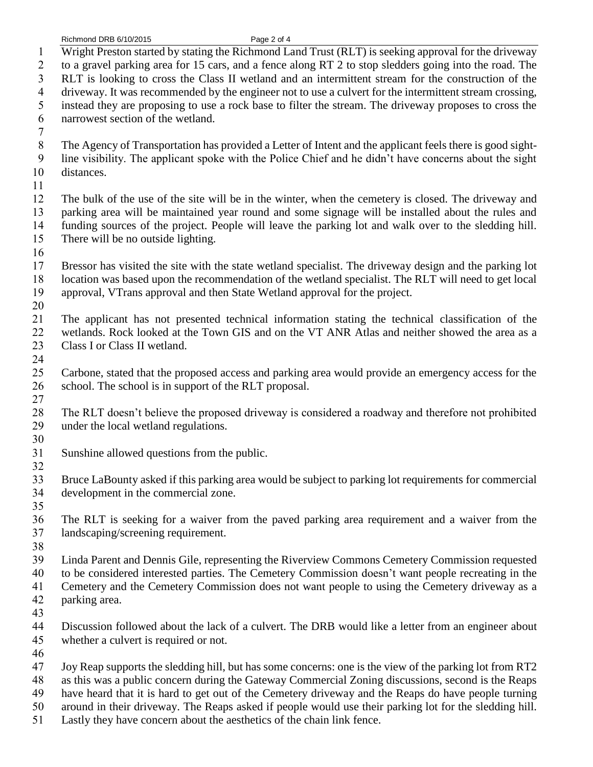Richmond DRB 6/10/2015 Page 2 of 4

 Wright Preston started by stating the Richmond Land Trust (RLT) is seeking approval for the driveway to a gravel parking area for 15 cars, and a fence along RT 2 to stop sledders going into the road. The RLT is looking to cross the Class II wetland and an intermittent stream for the construction of the driveway. It was recommended by the engineer not to use a culvert for the intermittent stream crossing, instead they are proposing to use a rock base to filter the stream. The driveway proposes to cross the narrowest section of the wetland.  $\frac{7}{8}$ The Agency of Transportation has provided a Letter of Intent and the applicant feels there is good sight- line visibility. The applicant spoke with the Police Chief and he didn't have concerns about the sight distances. The bulk of the use of the site will be in the winter, when the cemetery is closed. The driveway and parking area will be maintained year round and some signage will be installed about the rules and funding sources of the project. People will leave the parking lot and walk over to the sledding hill. There will be no outside lighting. Bressor has visited the site with the state wetland specialist. The driveway design and the parking lot location was based upon the recommendation of the wetland specialist. The RLT will need to get local approval, VTrans approval and then State Wetland approval for the project. The applicant has not presented technical information stating the technical classification of the wetlands. Rock looked at the Town GIS and on the VT ANR Atlas and neither showed the area as a 23 Class I or Class II wetland. Carbone, stated that the proposed access and parking area would provide an emergency access for the school. The school is in support of the RLT proposal. The RLT doesn't believe the proposed driveway is considered a roadway and therefore not prohibited under the local wetland regulations. Sunshine allowed questions from the public. Bruce LaBounty asked if this parking area would be subject to parking lot requirements for commercial development in the commercial zone. The RLT is seeking for a waiver from the paved parking area requirement and a waiver from the landscaping/screening requirement. Linda Parent and Dennis Gile, representing the Riverview Commons Cemetery Commission requested to be considered interested parties. The Cemetery Commission doesn't want people recreating in the Cemetery and the Cemetery Commission does not want people to using the Cemetery driveway as a parking area. Discussion followed about the lack of a culvert. The DRB would like a letter from an engineer about whether a culvert is required or not. Joy Reap supports the sledding hill, but has some concerns: one is the view of the parking lot from RT2 as this was a public concern during the Gateway Commercial Zoning discussions, second is the Reaps have heard that it is hard to get out of the Cemetery driveway and the Reaps do have people turning around in their driveway. The Reaps asked if people would use their parking lot for the sledding hill. Lastly they have concern about the aesthetics of the chain link fence.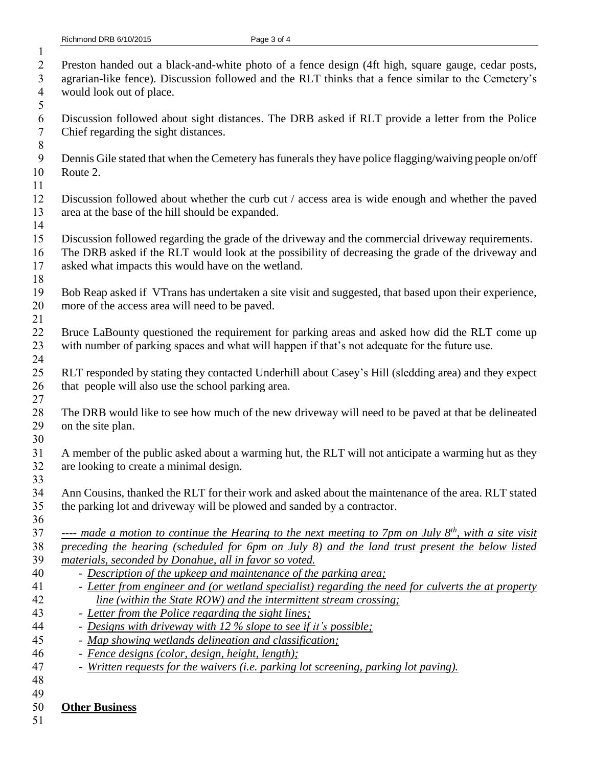- Preston handed out a black-and-white photo of a fence design (4ft high, square gauge, cedar posts, agrarian-like fence). Discussion followed and the RLT thinks that a fence similar to the Cemetery's
- would look out of place.
- Discussion followed about sight distances. The DRB asked if RLT provide a letter from the Police Chief regarding the sight distances.
- Dennis Gile stated that when the Cemetery has funerals they have police flagging/waiving people on/off Route 2.
- 

- Discussion followed about whether the curb cut / access area is wide enough and whether the paved area at the base of the hill should be expanded.
- Discussion followed regarding the grade of the driveway and the commercial driveway requirements.
- The DRB asked if the RLT would look at the possibility of decreasing the grade of the driveway and asked what impacts this would have on the wetland.
- Bob Reap asked if VTrans has undertaken a site visit and suggested, that based upon their experience, more of the access area will need to be paved.
- Bruce LaBounty questioned the requirement for parking areas and asked how did the RLT come up with number of parking spaces and what will happen if that's not adequate for the future use.
- RLT responded by stating they contacted Underhill about Casey's Hill (sledding area) and they expect that people will also use the school parking area.
- The DRB would like to see how much of the new driveway will need to be paved at that be delineated on the site plan.
- A member of the public asked about a warming hut, the RLT will not anticipate a warming hut as they are looking to create a minimal design.
- Ann Cousins, thanked the RLT for their work and asked about the maintenance of the area. RLT stated the parking lot and driveway will be plowed and sanded by a contractor.
- *37* ---- *made a motion to continue the Hearing to the next meeting to 7pm on July 8<sup>th</sup>, with a site visit preceding the hearing (scheduled for 6pm on July 8) and the land trust present the below listed materials, seconded by Donahue, all in favor so voted.*
- *Description of the upkeep and maintenance of the parking area;*
- *Letter from engineer and (or wetland specialist) regarding the need for culverts the at property line (within the State ROW) and the intermittent stream crossing;*
- *Letter from the Police regarding the sight lines;*
- *Designs with driveway with 12 % slope to see if it's possible;*
- *Map showing wetlands delineation and classification;*
- *Fence designs (color, design, height, length);*
- *Written requests for the waivers (i.e. parking lot screening, parking lot paving).*
- 

## **Other Business**